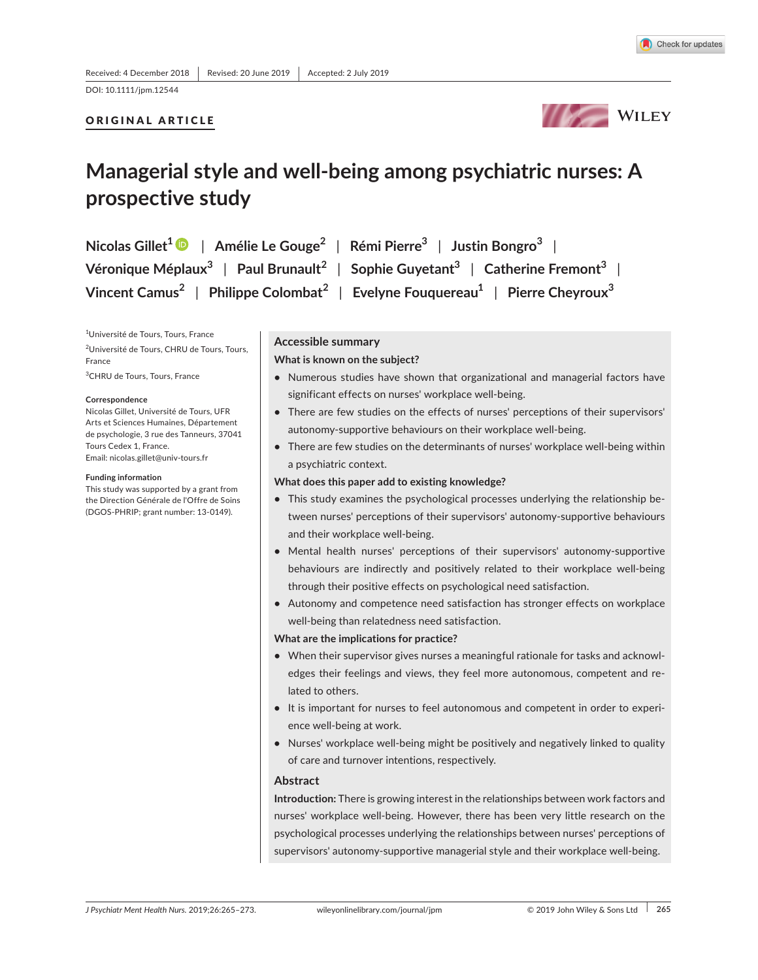DOI: 10.1111/jpm.12544

# ORIGINAL ARTICLE



# **Managerial style and well-being among psychiatric nurses: A prospective study**

| Nicolas Gillet <sup>1</sup> $\bullet$   Amélie Le Gouge <sup>2</sup>   Rémi Pierre <sup>3</sup>   Justin Bongro <sup>3</sup> |                                                                                                                              |
|------------------------------------------------------------------------------------------------------------------------------|------------------------------------------------------------------------------------------------------------------------------|
|                                                                                                                              | Véronique Méplaux <sup>3</sup>   Paul Brunault <sup>2</sup>   Sophie Guyetant <sup>3</sup>   Catherine Fremont <sup>3</sup>  |
|                                                                                                                              | Vincent Camus <sup>2</sup>   Philippe Colombat <sup>2</sup>   Evelyne Fouquereau <sup>1</sup>   Pierre Cheyroux <sup>3</sup> |

<sup>1</sup>Université de Tours, Tours, France <sup>2</sup>Université de Tours, CHRU de Tours, Tours, France

 $^3$ CHRU de Tours, Tours, France

#### **Correspondence**

Nicolas Gillet, Université de Tours, UFR Arts et Sciences Humaines, Département de psychologie, 3 rue des Tanneurs, 37041 Tours Cedex 1. France. Email: nicolas.gillet@univ-tours.fr

#### **Funding information**

This study was supported by a grant from the Direction Générale de l'Offre de Soins (DGOS-PHRIP; grant number: 13-0149).

#### **Accessible summary**

#### **What is known on the subject?**

- **•** Numerous studies have shown that organizational and managerial factors have significant effects on nurses' workplace well-being.
- There are few studies on the effects of nurses' perceptions of their supervisors' autonomy-supportive behaviours on their workplace well-being.
- **•** There are few studies on the determinants of nurses' workplace well-being within a psychiatric context.

# **What does this paper add to existing knowledge?**

- **•** This study examines the psychological processes underlying the relationship between nurses' perceptions of their supervisors' autonomy-supportive behaviours and their workplace well-being.
- Mental health nurses' perceptions of their supervisors' autonomy-supportive behaviours are indirectly and positively related to their workplace well-being through their positive effects on psychological need satisfaction.
- **•** Autonomy and competence need satisfaction has stronger effects on workplace well-being than relatedness need satisfaction.

# **What are the implications for practice?**

- **•** When their supervisor gives nurses a meaningful rationale for tasks and acknowledges their feelings and views, they feel more autonomous, competent and related to others.
- It is important for nurses to feel autonomous and competent in order to experience well-being at work.
- Nurses' workplace well-being might be positively and negatively linked to quality of care and turnover intentions, respectively.

### **Abstract**

**Introduction:** There is growing interest in the relationships between work factors and nurses' workplace well-being. However, there has been very little research on the psychological processes underlying the relationships between nurses' perceptions of supervisors' autonomy-supportive managerial style and their workplace well-being.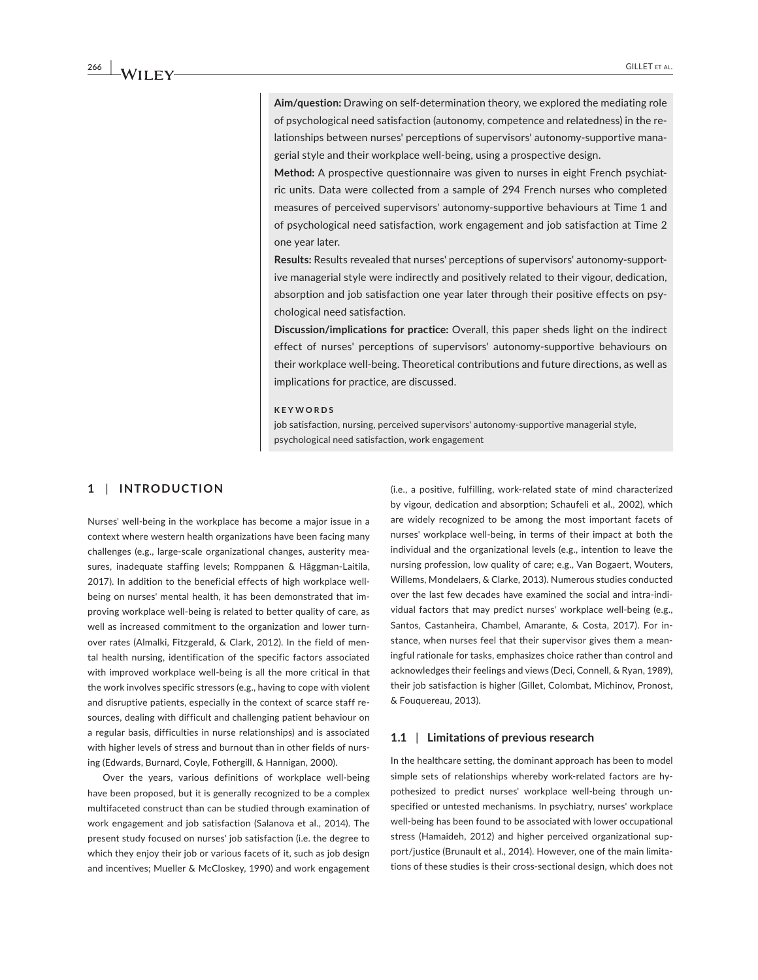Aim/question: Drawing on self-determination theory, we explored the mediating role of psychological need satisfaction (autonomy, competence and relatedness) in the relationships between nurses' perceptions of supervisors' autonomy-supportive managerial style and their workplace well-being, using a prospective design.

Method: A prospective questionnaire was given to nurses in eight French psychiatric units. Data were collected from a sample of 294 French nurses who completed measures of perceived supervisors' autonomy-supportive behaviours at Time 1 and of psychological need satisfaction, work engagement and job satisfaction at Time 2 one vear later.

Results: Results revealed that nurses' perceptions of supervisors' autonomy-supportive managerial style were indirectly and positively related to their vigour, dedication, absorption and job satisfaction one year later through their positive effects on psychological need satisfaction.

**Discussion/implications for practice:** Overall, this paper sheds light on the indirect effect of nurses' perceptions of supervisors' autonomy-supportive behaviours on their workplace well-being. Theoretical contributions and future directions, as well as implications for practice, are discussed.

#### **+)! "**

job satisfaction, nursing, perceived supervisors' autonomy-supportive managerial style, psychological need satisfaction, work engagement

# $1$  | **INTRODUCTION**

Nurses' well-being in the workplace has become a major issue in a context where western health organizations have been facing many challenges (e.g., large-scale organizational changes, austerity measures, inadequate staffing levels; Romppanen & Häggman-Laitila, 2017). In addition to the beneficial effects of high workplace wellbeing on nurses' mental health, it has been demonstrated that improving workplace well-being is related to better quality of care, as well as increased commitment to the organization and lower turnover rates (Almalki, Fitzgerald, & Clark, 2012). In the field of mental health nursing, identification of the specific factors associated with improved workplace well-being is all the more critical in that the work involves specific stressors (e.g., having to cope with violent and disruptive patients, especially in the context of scarce staff resources, dealing with difficult and challenging patient behaviour on a regular basis, difficulties in nurse relationships) and is associated with higher levels of stress and burnout than in other fields of nursing (Edwards, Burnard, Coyle, Fothergill, & Hannigan, 2000).

Over the years, various definitions of workplace well-being have been proposed, but it is generally recognized to be a complex multifaceted construct than can be studied through examination of work engagement and job satisfaction (Salanova et al., 2014). The present study focused on nurses' job satisfaction (i.e. the degree to which they enjoy their job or various facets of it, such as job design and incentives; Mueller & McCloskey, 1990) and work engagement

(i.e., a positive, fulfilling, work-related state of mind characterized by vigour, dedication and absorption; Schaufeli et al., 2002), which are widely recognized to be among the most important facets of nurses' workplace well-being, in terms of their impact at both the individual and the organizational levels (e.g., intention to leave the nursing profession, low quality of care; e.g., Van Bogaert, Wouters, Villems, Mondelaers, & Clarke, 2013). Numerous studies conducted over the last few decades have examined the social and intra-individual factors that may predict nurses' workplace well-being (e.g., Santos, Castanheira, Chambel, Amarante, & Costa, 2017). For instance, when nurses feel that their supervisor gives them a meaningful rationale for tasks, emphasizes choice rather than control and acknowledges their feelings and views (Deci, Connell, & Ryan, 1989), their job satisfaction is higher (Gillet, Colombat, Michinov, Pronost, & Fouquereau, 2013).

#### $1.1$  | Limitations of previous research

In the healthcare setting, the dominant approach has been to model simple sets of relationships whereby work-related factors are hypothesized to predict nurses' workplace well-being through unspecified or untested mechanisms. In psychiatry, nurses' workplace well-being has been found to be associated with lower occupational stress (Hamaideh, 2012) and higher perceived organizational support/justice (Brunault et al., 2014). However, one of the main limitations of these studies is their cross-sectional design, which does not

**|Պ-**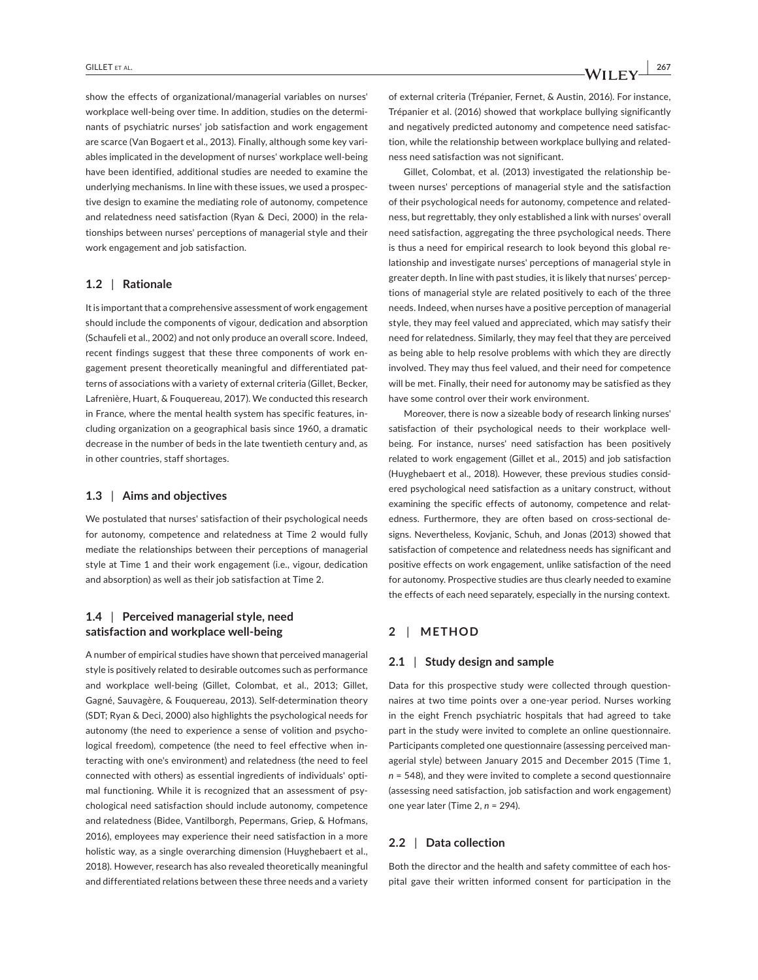show the effects of organizational/managerial variables on nurses' workplace well-being over time. In addition, studies on the determinants of psychiatric nurses' job satisfaction and work engagement are scarce (Van Bogaert et al., 2013). Finally, although some key variables implicated in the development of nurses' workplace well-being have been identified, additional studies are needed to examine the underlying mechanisms. In line with these issues, we used a prospective design to examine the mediating role of autonomy, competence and relatedness need satisfaction (Ryan & Deci, 2000) in the relationships between nurses' perceptions of managerial style and their work engagement and job satisfaction.

# **1.2** | Rationale

It is important that a comprehensive assessment of work engagement should include the components of vigour, dedication and absorption (Schaufeli et al., 2002) and not only produce an overall score. Indeed, recent findings suggest that these three components of work engagement present theoretically meaningful and differentiated patterns of associations with a variety of external criteria (Gillet, Becker, Lafrenière, Huart, & Fouquereau, 2017). We conducted this research in France, where the mental health system has specific features, including organization on a geographical basis since 1960, a dramatic decrease in the number of beds in the late twentieth century and, as in other countries, staff shortages.

### $1.3$  | Aims and objectives

We postulated that nurses' satisfaction of their psychological needs for autonomy, competence and relatedness at Time 2 would fully mediate the relationships between their perceptions of managerial style at Time 1 and their work engagement (i.e., vigour, dedication and absorption) as well as their job satisfaction at Time 2.

# **1.4** | Perceived managerial style, need **satisfaction and workplace well-being**

A number of empirical studies have shown that perceived managerial style is positively related to desirable outcomes such as performance and workplace well-being (Gillet, Colombat, et al., 2013; Gillet, Gagné, Sauvagère, & Fouquereau, 2013). Self-determination theory (SDT; Ryan & Deci, 2000) also highlights the psychological needs for autonomy (the need to experience a sense of volition and psychological freedom), competence (the need to feel effective when interacting with one's environment) and relatedness (the need to feel connected with others) as essential ingredients of individuals' optimal functioning. While it is recognized that an assessment of psychological need satisfaction should include autonomy, competence and relatedness (Bidee, Vantilborgh, Pepermans, Griep, & Hofmans, 2016), employees may experience their need satisfaction in a more holistic way, as a single overarching dimension (Huyghebaert et al., 2018). However, research has also revealed theoretically meaningful and differentiated relations between these three needs and a variety

of external criteria (Trépanier, Fernet, & Austin, 2016). For instance, Trépanier et al. (2016) showed that workplace bullying significantly and negatively predicted autonomy and competence need satisfaction, while the relationship between workplace bullying and relatedness need satisfaction was not significant.

Gillet, Colombat, et al. (2013) investigated the relationship between nurses' perceptions of managerial style and the satisfaction of their psychological needs for autonomy, competence and relatedness, but regrettably, they only established a link with nurses' overall need satisfaction, aggregating the three psychological needs. There is thus a need for empirical research to look beyond this global relationship and investigate nurses' perceptions of managerial style in greater depth. In line with past studies, it is likely that nurses' perceptions of managerial style are related positively to each of the three needs. Indeed, when nurses have a positive perception of managerial style, they may feel valued and appreciated, which may satisfy their need for relatedness. Similarly, they may feel that they are perceived as being able to help resolve problems with which they are directly involved. They may thus feel valued, and their need for competence will be met. Finally, their need for autonomy may be satisfied as they have some control over their work environment.

Moreover, there is now a sizeable body of research linking nurses' satisfaction of their psychological needs to their workplace wellbeing. For instance, nurses' need satisfaction has been positively related to work engagement (Gillet et al., 2015) and job satisfaction (Huyghebaert et al., 2018). However, these previous studies considered psychological need satisfaction as a unitary construct, without examining the specific effects of autonomy, competence and relatedness. Furthermore, they are often based on cross-sectional designs. Nevertheless, Kovjanic, Schuh, and Jonas (2013) showed that satisfaction of competence and relatedness needs has significant and positive effects on work engagement, unlike satisfaction of the need for autonomy. Prospective studies are thus clearly needed to examine the effects of each need separately, especially in the nursing context.

# $2$  | METHOD

### $2.1 \parallel$  Study design and sample

Data for this prospective study were collected through questionnaires at two time points over a one-year period. Nurses working in the eight French psychiatric hospitals that had agreed to take part in the study were invited to complete an online questionnaire. Participants completed one questionnaire (assessing perceived managerial style) between January 2015 and December 2015 (Time 1, *n* = 548), and they were invited to complete a second questionnaire (assessing need satisfaction, job satisfaction and work engagement) one year later (Time 2, *n* = 294).

# $2.2$  | Data collection

Both the director and the health and safety committee of each hospital gave their written informed consent for participation in the

**WILEY**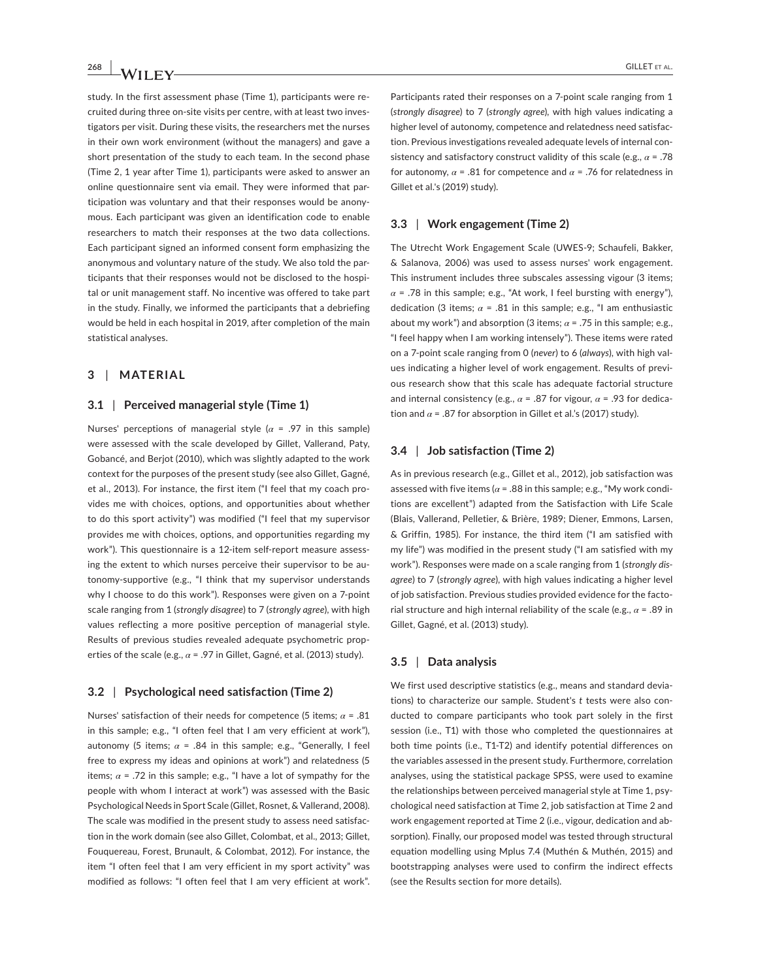study. In the first assessment phase (Time 1), participants were recruited during three on-site visits per centre, with at least two investigators per visit. During these visits, the researchers met the nurses in their own work environment (without the managers) and gave a short presentation of the study to each team. In the second phase (Time 2, 1 year after Time 1), participants were asked to answer an online questionnaire sent via email. They were informed that participation was voluntary and that their responses would be anonymous. Each participant was given an identification code to enable researchers to match their responses at the two data collections. Each participant signed an informed consent form emphasizing the anonymous and voluntary nature of the study. We also told the participants that their responses would not be disclosed to the hospital or unit management staff. No incentive was offered to take part in the study. Finally, we informed the participants that a debriefing would be held in each hospital in 2019, after completion of the main statistical analyses.

### **3** | MATERIAL

#### **3.1** | Perceived managerial style (Time 1)

lurses' perceptions of managerial style (*α* = .97 in this sample) were assessed with the scale developed by Gillet, Vallerand, Paty, Gobancé, and Berjot (2010), which was slightly adapted to the work context for the purposes of the present study (see also Gillet, Gagné, et al., 2013). For instance, the first item ("I feel that my coach provides me with choices, options, and opportunities about whether to do this sport activity") was modified ("I feel that my supervisor provides me with choices, options, and opportunities regarding my work"). This questionnaire is a 12-item self-report measure assessing the extent to which nurses perceive their supervisor to be autonomy-supportive (e.g., "I think that my supervisor understands why I choose to do this work"). Responses were given on a 7-point scale ranging from 1 (strongly disagree) to 7 (strongly agree), with high values reflecting a more positive perception of managerial style. Results of previous studies revealed adequate psychometric properties of the scale (e.g.,  $\alpha$  = .97 in Gillet, Gagné, et al. (2013) study).

#### $3.2$  | Psychological need satisfaction (Time 2)

Nurses' satisfaction of their needs for competence (5 items;  $\alpha$  = .81 in this sample; e.g., "I often feel that I am very efficient at work"), autonomy (5 items;  $\alpha$  = .84 in this sample; e.g., "Generally, I feel free to express my ideas and opinions at work") and relatedness (5 items;  $\alpha$  = .72 in this sample; e.g., "I have a lot of sympathy for the people with whom I interact at work") was assessed with the Basic Psychological Needs in Sport Scale (Gillet, Rosnet, & Vallerand, 2008). The scale was modified in the present study to assess need satisfaction in the work domain (see also Gillet, Colombat, et al., 2013; Gillet, Fouquereau, Forest, Brunault, & Colombat, 2012). For instance, the item "I often feel that I am very efficient in my sport activity" was modified as follows: "I often feel that I am very efficient at work". Participants rated their responses on a 7-point scale ranging from 1 (strongly disagree) to 7 (strongly agree), with high values indicating a higher level of autonomy, competence and relatedness need satisfaction. Previous investigations revealed adequate levels of internal consistency and satisfactory construct validity of this scale (e.g.,  $\alpha$  = .78 for autonomy,  $\alpha$  = .81 for competence and  $\alpha$  = .76 for relatedness in Gillet et al.'s (2019) study).

#### $3.3$  | Work engagement (Time 2)

The Utrecht Work Engagement Scale (UWES-9; Schaufeli, Bakker, & Salanova, 2006) was used to assess nurses' work engagement. This instrument includes three subscales assessing vigour (3 items;  $\alpha$  = .78 in this sample; e.g., "At work, I feel bursting with energy"), dedication (3 items;  $\alpha$  = .81 in this sample; e.g., "I am enthusiastic about my work") and absorption (3 items;  $\alpha$  = .75 in this sample; e.g., "I feel happy when I am working intensely"). These items were rated on a 7-point scale ranging from 0 (never) to 6 (always), with high values indicating a higher level of work engagement. Results of previous research show that this scale has adequate factorial structure and internal consistency (e.g.,  $\alpha$  = .87 for vigour,  $\alpha$  = .93 for dedication and  $\alpha$  = .87 for absorption in Gillet et al.'s (2017) study).

#### $3.4$  | Job satisfaction (Time 2)

As in previous research (e.g., Gillet et al., 2012), job satisfaction was assessed with five items ( $\alpha$  = .88 in this sample; e.g., "My work conditions are excellent") adapted from the Satisfaction with Life Scale (Blais, Vallerand, Pelletier, & Brière, 1989; Diener, Emmons, Larsen, & Griffin, 1985). For instance, the third item ("I am satisfied with my life") was modified in the present study ("I am satisfied with my work"). Responses were made on a scale ranging from 1 (strongly dis*agree*) to 7 (strongly agree), with high values indicating a higher level of job satisfaction. Previous studies provided evidence for the factorial structure and high internal reliability of the scale (e.g.,  $\alpha$  = .89 in Gillet, Gagné, et al. (2013) study).

#### **3.5** | Data analysis

We first used descriptive statistics (e.g., means and standard deviations) to characterize our sample. Student's t tests were also conducted to compare participants who took part solely in the first session (i.e., T1) with those who completed the questionnaires at both time points (i.e., T1-T2) and identify potential differences on the variables assessed in the present study. Furthermore, correlation analyses, using the statistical package SPSS, were used to examine the relationships between perceived managerial style at Time 1, psychological need satisfaction at Time 2, job satisfaction at Time 2 and work engagement reported at Time 2 (i.e., vigour, dedication and absorption). Finally, our proposed model was tested through structural equation modelling using Mplus 7.4 (Muthén & Muthén, 2015) and bootstrapping analyses were used to confirm the indirect effects (see the Results section for more details).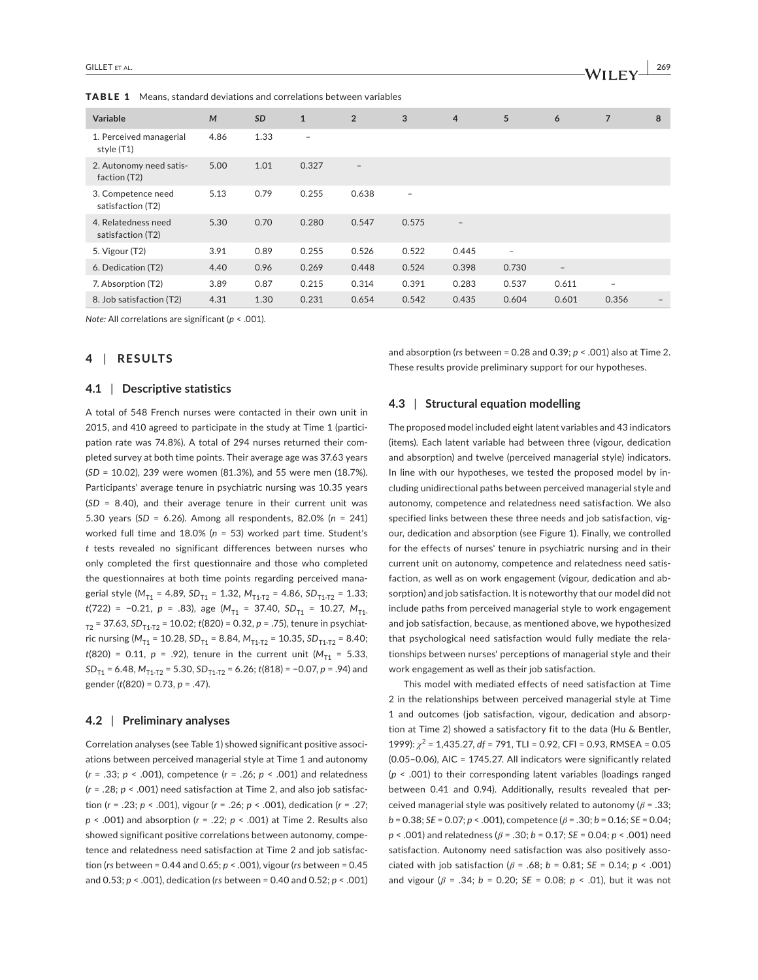| <b>Variable</b>                          | M    | <b>SD</b> | $\mathbf{1}$             | $\overline{2}$    | 3                        | $\overline{4}$           | 5                        | 6                        | $\overline{7}$           | 8 |
|------------------------------------------|------|-----------|--------------------------|-------------------|--------------------------|--------------------------|--------------------------|--------------------------|--------------------------|---|
| 1. Perceived managerial<br>style (T1)    | 4.86 | 1.33      | $\overline{\phantom{m}}$ |                   |                          |                          |                          |                          |                          |   |
| 2. Autonomy need satis-<br>faction (T2)  | 5.00 | 1.01      | 0.327                    | $\qquad \qquad -$ |                          |                          |                          |                          |                          |   |
| 3. Competence need<br>satisfaction (T2)  | 5.13 | 0.79      | 0.255                    | 0.638             | $\overline{\phantom{0}}$ |                          |                          |                          |                          |   |
| 4. Relatedness need<br>satisfaction (T2) | 5.30 | 0.70      | 0.280                    | 0.547             | 0.575                    | $\overline{\phantom{m}}$ |                          |                          |                          |   |
| 5. Vigour (T2)                           | 3.91 | 0.89      | 0.255                    | 0.526             | 0.522                    | 0.445                    | $\overline{\phantom{m}}$ |                          |                          |   |
| 6. Dedication (T2)                       | 4.40 | 0.96      | 0.269                    | 0.448             | 0.524                    | 0.398                    | 0.730                    | $\overline{\phantom{a}}$ |                          |   |
| 7. Absorption (T2)                       | 3.89 | 0.87      | 0.215                    | 0.314             | 0.391                    | 0.283                    | 0.537                    | 0.611                    | $\overline{\phantom{a}}$ |   |
| 8. Job satisfaction (T2)                 | 4.31 | 1.30      | 0.231                    | 0.654             | 0.542                    | 0.435                    | 0.604                    | 0.601                    | 0.356                    |   |

TABLE 1 Means, standard deviations and correlations between variables

*Note: All correlations are significant (p < .001).* 

### $4$  | RESULTS

#### $\mathsf{4.1}$  | Descriptive statistics

A total of 548 French nurses were contacted in their own unit in 2015, and 410 agreed to participate in the study at Time 1 (participation rate was 74.8%). A total of 294 nurses returned their completed survey at both time points. Their average age was 37.63 years (*SD* = 10.02), 239 were women (81.3%), and 55 were men (18.7%). Participants' average tenure in psychiatric nursing was 10.35 years  $(SD = 8.40)$ , and their average tenure in their current unit was 5.30 years (SD = 6.26). Among all respondents, 82.0% (n = 241) worked full time and 18.0% (n = 53) worked part time. Student's  $t$  tests revealed no significant differences between nurses who only completed the first questionnaire and those who completed the questionnaires at both time points regarding perceived managerial style (M<sub>T1</sub> = 4.89, SD<sub>T1</sub> = 1.32, M<sub>T1-T2</sub> = 4.86, SD<sub>T1-T2</sub> = 1.33;  $t(722) = -0.21$ ,  $p = .83$ ), age  $(M_{T1} = 37.40, SD_{T1} = 10.27, M_{T1}$ .  $_{T2}$  = 37.63, SD<sub>T1-T2</sub> = 10.02; *t*(820) = 0.32, *p* = .75), tenure in psychiatric nursing ( $M_{T1}$  = 10.28,  $SD_{T1}$  = 8.84,  $M_{T1-T2}$  = 10.35,  $SD_{T1-T2}$  = 8.40;  $t(820) = 0.11, p = .92$ , tenure in the current unit  $(M_{T1} = 5.33,$ *SD*<sub>T1</sub> = 6.48,  $M_{T_1-T_2}$  = 5.30, *SD*<sub>T1-T2</sub> = 6.26; *t*(818) = -0.07, *p* = .94) and gender (*t*(820) = 0.73, *p* = .47).

#### $\bf 4.2$  | Preliminary analyses

Correlation analyses (see Table 1) showed significant positive associations between perceived managerial style at Time 1 and autonomy (*r* = .33; *p* < .001), competence (*r* = .26; *p* < .001) and relatedness (*r* = .28; *p* < .001) need satisfaction at Time 2, and also job satisfac- $\frac{1}{2}$  fion ( $r = .23$ ;  $p \le .001$ ), vigour ( $r = .26$ ;  $p \le .001$ ), dedication ( $r = .27$ ; *p* < .001) and absorption (*r* = .22; *p* < .001) at Time 2. Results also showed significant positive correlations between autonomy, competence and relatedness need satisfaction at Time 2 and job satisfaction (rs between = 0.44 and 0.65;  $p < .001$ ), vigour (rs between = 0.45 and 0.53; *p* < .001), dedication (*rs* between = 0.40 and 0.52; *p* < .001) and absorption ( $rs$  between = 0.28 and 0.39;  $p < .001$ ) also at Time 2. These results provide preliminary support for our hypotheses.

#### $\blacksquare$  **3** Structural equation modelling

The proposed model included eight latent variables and 43 indicators (items). Each latent variable had between three (vigour, dedication and absorption) and twelve (perceived managerial style) indicators. In line with our hypotheses, we tested the proposed model by including unidirectional paths between perceived managerial style and autonomy, competence and relatedness need satisfaction. We also specified links between these three needs and job satisfaction, vigour, dedication and absorption (see Figure 1). Finally, we controlled for the effects of nurses' tenure in psychiatric nursing and in their current unit on autonomy, competence and relatedness need satisfaction, as well as on work engagement (vigour, dedication and absorption) and job satisfaction. It is noteworthy that our model did not include paths from perceived managerial style to work engagement and job satisfaction, because, as mentioned above, we hypothesized that psychological need satisfaction would fully mediate the relationships between nurses' perceptions of managerial style and their work engagement as well as their job satisfaction.

This model with mediated effects of need satisfaction at Time 2 in the relationships between perceived managerial style at Time 1 and outcomes (job satisfaction, vigour, dedication and absorption at Time 2) showed a satisfactory fit to the data (Hu & Bentler,  $1999$ :  $\chi^2$  = 1,435.27, df = 791, TLI = 0.92, CFI = 0.93, RMSEA = 0.05 (0.05-0.06), AIC = 1745.27. All indicators were significantly related  $(p \le .001)$  to their corresponding latent variables (loadings ranged between 0.41 and 0.94). Additionally, results revealed that perceived managerial style was positively related to autonomy ( $\beta$  = .33;  $b = 0.38$ ; *SE* = 0.07;  $p < .001$ ), competence ( $\beta = .30$ ;  $b = 0.16$ ; *SE* = 0.04;  $p$  < .001) and relatedness ( $\beta$  = .30;  $b$  = 0.17; *SE* = 0.04;  $p$  < .001) need satisfaction. Autonomy need satisfaction was also positively asso $i$ ciated with job satisfaction ( $\beta$  = .68;  $b$  = 0.81; *SE* = 0.14;  $p$  < .001) and vigour ( $\beta$  = .34;  $b$  = 0.20; *SE* = 0.08;  $p \le 0.01$ ), but it was not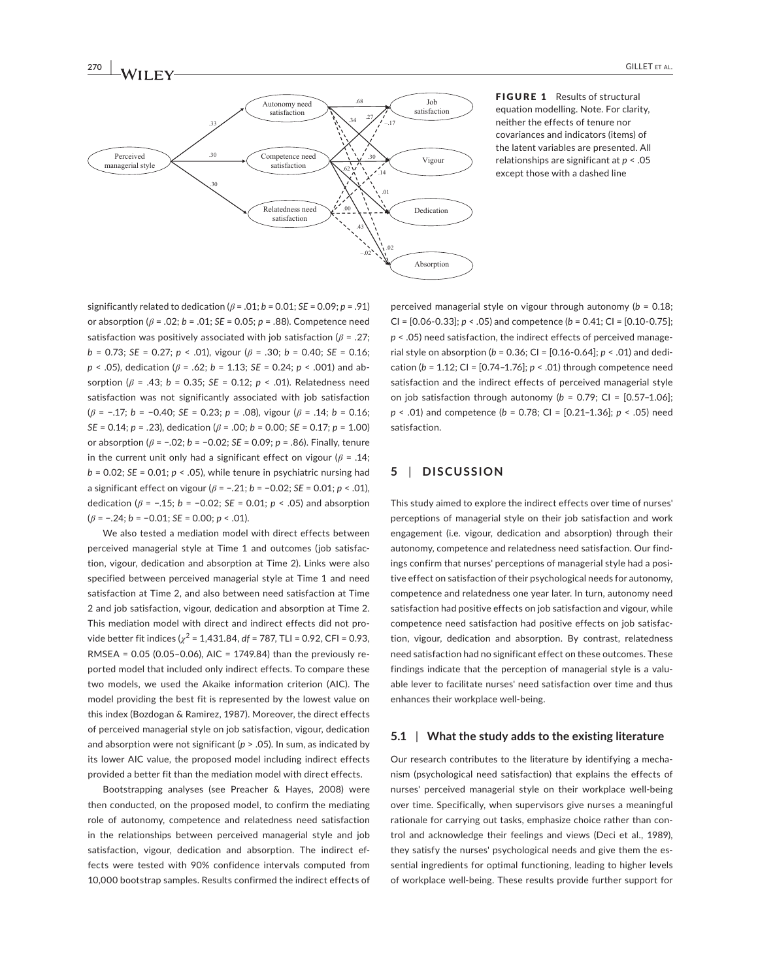

FIGURE 1 Results of structural equation modelling. Note. For clarity, neither the effects of tenure nor covariances and indicators (items) of the latent variables are presented. All relationships are significant at  $p < .05$ except those with a dashed line

significantly related to dedication  $(\beta = .01; b = 0.01; SE = 0.09; p = .91)$ or absorption ( $\beta$  = .02;  $b$  = .01; *SE* = 0.05;  $p$  = .88). Competence need satisfaction was positively associated with job satisfaction  $(\beta = .27;$  $b = 0.73$ ; *SE* = 0.27; *p* < .01), vigour ( $\beta$  = .30; *b* = 0.40; *SE* = 0.16; *p* < .05), dedication (*β* = .62; *b* = 1.13; *SE* = 0.24; *p* < .001) and absorption ( $β$  = .43;  $b$  = 0.35; *SE* = 0.12;  $p$  < .01). Relatedness need satisfaction was not significantly associated with job satisfaction  $(\beta = -.17; b = -0.40; SE = 0.23; p = .08)$ , vigour  $(\beta = .14; b = 0.16;$ *SE* = 0.14;  $p = .23$ ), dedication ( $\beta = .00$ ;  $b = 0.00$ ; *SE* = 0.17;  $p = 1.00$ ) or absorption ( $β$  = -.02;  $b$  = -0.02; *SE* = 0.09;  $p$  = .86). Finally, tenure in the current unit only had a significant effect on vigour ( $\beta$  = .14;  $b = 0.02$ ; *SE* = 0.01;  $p < .05$ ), while tenure in psychiatric nursing had a significant effect on vigour  $(\beta = -.21; b = -0.02; SE = 0.01; p < .01)$ ,  $\Delta$ dedication ( $\beta$  = -.15;  $b$  = -0.02; *SE* = 0.01;  $p$  < .05) and absorption  $(\beta = -.24; b = -0.01; SE = 0.00; p < .01).$ 

**ƑƕƏՊ-**

We also tested a mediation model with direct effects between perceived managerial style at Time 1 and outcomes (job satisfaction, vigour, dedication and absorption at Time 2). Links were also specified between perceived managerial style at Time 1 and need satisfaction at Time 2, and also between need satisfaction at Time 2 and job satisfaction, vigour, dedication and absorption at Time 2. This mediation model with direct and indirect effects did not provide better fit indices  $\chi^2$  = 1,431.84, *df* = 787, TLI = 0.92, CFI = 0.93,  $RMSEA = 0.05 (0.05 - 0.06)$ , AIC = 1749.84) than the previously reported model that included only indirect effects. To compare these two models, we used the Akaike information criterion (AIC). The model providing the best fit is represented by the lowest value on this index (Bozdogan & Ramirez, 1987). Moreover, the direct effects of perceived managerial style on job satisfaction, vigour, dedication and absorption were not significant ( $p > .05$ ). In sum, as indicated by its lower AIC value, the proposed model including indirect effects provided a better fit than the mediation model with direct effects.

Bootstrapping analyses (see Preacher & Hayes, 2008) were then conducted, on the proposed model, to confirm the mediating role of autonomy, competence and relatedness need satisfaction in the relationships between perceived managerial style and job satisfaction, vigour, dedication and absorption. The indirect effects were tested with 90% confidence intervals computed from 10,000 bootstrap samples. Results confirmed the indirect effects of perceived managerial style on vigour through autonomy (b = 0.18; CI = [0.06-0.33];  $p < .05$ ) and competence ( $b = 0.41$ ; CI = [0.10-0.75]; *p* < .05) need satisfaction, the indirect effects of perceived managerial style on absorption ( $b = 0.36$ ; CI =  $[0.16 - 0.64]$ ;  $p < .01$ ) and dedication (b = 1.12; CI = [0.74-1.76]; p < .01) through competence need satisfaction and the indirect effects of perceived managerial style on job satisfaction through autonomy ( $b = 0.79$ ; CI =  $[0.57-1.06]$ ; *p* < .01) and competence (*b* = 0.78; CI = [0.21-1.36]; *p* < .05) need satisfaction.

# $5$  | DISCUSSION

This study aimed to explore the indirect effects over time of nurses' perceptions of managerial style on their job satisfaction and work engagement (i.e. vigour, dedication and absorption) through their autonomy, competence and relatedness need satisfaction. Our findings confirm that nurses' perceptions of managerial style had a positive effect on satisfaction of their psychological needs for autonomy, competence and relatedness one year later. In turn, autonomy need satisfaction had positive effects on job satisfaction and vigour, while competence need satisfaction had positive effects on job satisfaction, vigour, dedication and absorption. By contrast, relatedness need satisfaction had no significant effect on these outcomes. These findings indicate that the perception of managerial style is a valuable lever to facilitate nurses' need satisfaction over time and thus enhances their workplace well-being.

#### $\blacksquare$  **What the study adds to the existing literature**

Our research contributes to the literature by identifying a mechanism (psychological need satisfaction) that explains the effects of nurses' perceived managerial style on their workplace well-being over time. Specifically, when supervisors give nurses a meaningful rationale for carrying out tasks, emphasize choice rather than control and acknowledge their feelings and views (Deci et al., 1989), they satisfy the nurses' psychological needs and give them the essential ingredients for optimal functioning, leading to higher levels of workplace well-being. These results provide further support for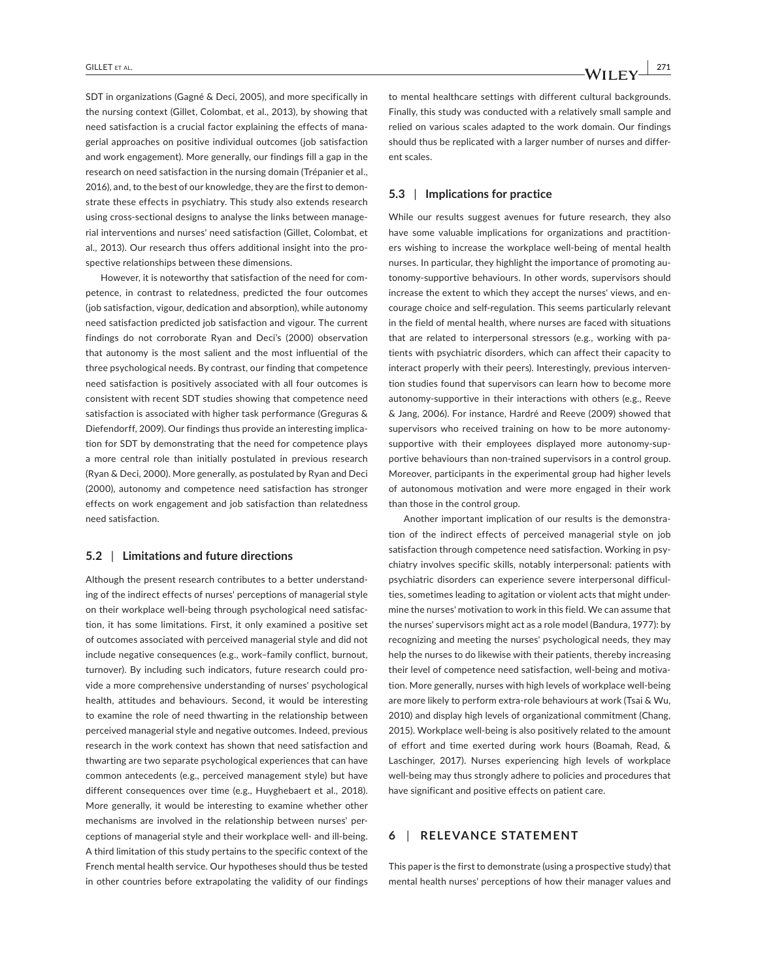SDT in organizations (Gagné & Deci, 2005), and more specifically in the nursing context (Gillet, Colombat, et al., 2013), by showing that need satisfaction is a crucial factor explaining the effects of managerial approaches on positive individual outcomes (job satisfaction and work engagement). More generally, our findings fill a gap in the research on need satisfaction in the nursing domain (Trépanier et al., 2016), and, to the best of our knowledge, they are the first to demonstrate these effects in psychiatry. This study also extends research using cross-sectional designs to analyse the links between managerial interventions and nurses' need satisfaction (Gillet, Colombat, et al., 2013). Our research thus offers additional insight into the prospective relationships between these dimensions.

However, it is noteworthy that satisfaction of the need for competence, in contrast to relatedness, predicted the four outcomes (job satisfaction, vigour, dedication and absorption), while autonomy need satisfaction predicted job satisfaction and vigour. The current findings do not corroborate Ryan and Deci's (2000) observation that autonomy is the most salient and the most influential of the three psychological needs. By contrast, our finding that competence need satisfaction is positively associated with all four outcomes is consistent with recent SDT studies showing that competence need satisfaction is associated with higher task performance (Greguras & Diefendorff, 2009). Our findings thus provide an interesting implication for SDT by demonstrating that the need for competence plays a more central role than initially postulated in previous research (Ryan & Deci, 2000). More generally, as postulated by Ryan and Deci (2000), autonomy and competence need satisfaction has stronger effects on work engagement and job satisfaction than relatedness need satisfaction.

#### $\mathbf{5.2}$  | Limitations and future directions

Although the present research contributes to a better understanding of the indirect effects of nurses' perceptions of managerial style on their workplace well-being through psychological need satisfaction, it has some limitations. First, it only examined a positive set of outcomes associated with perceived managerial style and did not include negative consequences (e.g., work-family conflict, burnout, turnover). By including such indicators, future research could provide a more comprehensive understanding of nurses' psychological health, attitudes and behaviours. Second, it would be interesting to examine the role of need thwarting in the relationship between perceived managerial style and negative outcomes. Indeed, previous research in the work context has shown that need satisfaction and thwarting are two separate psychological experiences that can have common antecedents (e.g., perceived management style) but have different consequences over time (e.g., Huyghebaert et al., 2018). More generally, it would be interesting to examine whether other mechanisms are involved in the relationship between nurses' perceptions of managerial style and their workplace well- and ill-being. A third limitation of this study pertains to the specific context of the French mental health service. Our hypotheses should thus be tested in other countries before extrapolating the validity of our findings

to mental healthcare settings with different cultural backgrounds. Finally, this study was conducted with a relatively small sample and relied on various scales adapted to the work domain. Our findings should thus be replicated with a larger number of nurses and different scales.

#### $\mathbf{5.3}$  | Implications for practice

While our results suggest avenues for future research, they also have some valuable implications for organizations and practitioners wishing to increase the workplace well-being of mental health nurses. In particular, they highlight the importance of promoting autonomy-supportive behaviours. In other words, supervisors should increase the extent to which they accept the nurses' views, and encourage choice and self-regulation. This seems particularly relevant in the field of mental health, where nurses are faced with situations that are related to interpersonal stressors (e.g., working with patients with psychiatric disorders, which can affect their capacity to interact properly with their peers). Interestingly, previous intervention studies found that supervisors can learn how to become more autonomy-supportive in their interactions with others (e.g., Reeve & Jang, 2006). For instance, Hardré and Reeve (2009) showed that supervisors who received training on how to be more autonomysupportive with their employees displayed more autonomy-supportive behaviours than non-trained supervisors in a control group. Moreover, participants in the experimental group had higher levels of autonomous motivation and were more engaged in their work than those in the control group.

Another important implication of our results is the demonstration of the indirect effects of perceived managerial style on job satisfaction through competence need satisfaction. Working in psychiatry involves specific skills, notably interpersonal: patients with psychiatric disorders can experience severe interpersonal difficulties, sometimes leading to agitation or violent acts that might undermine the nurses' motivation to work in this field. We can assume that the nurses' supervisors might act as a role model (Bandura, 1977): by recognizing and meeting the nurses' psychological needs, they may help the nurses to do likewise with their patients, thereby increasing their level of competence need satisfaction, well-being and motivation. More generally, nurses with high levels of workplace well-being are more likely to perform extra-role behaviours at work (Tsai & Wu, 2010) and display high levels of organizational commitment (Chang, 2015). Workplace well-being is also positively related to the amount of effort and time exerted during work hours (Boamah, Read, & Laschinger, 2017). Nurses experiencing high levels of workplace well-being may thus strongly adhere to policies and procedures that have significant and positive effects on patient care.

# **6** | RELEVANCE STATEMENT

This paper is the first to demonstrate (using a prospective study) that mental health nurses' perceptions of how their manager values and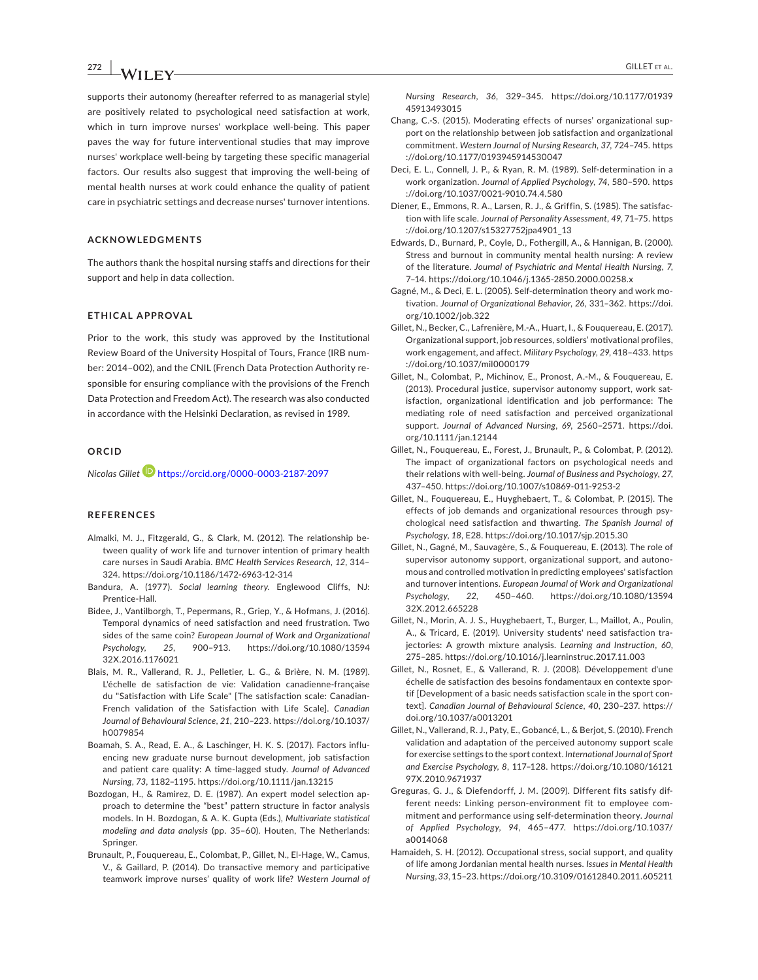#### **ƑƕƑՊ-|Պ-ՊՍ** GILLET ET aL.

supports their autonomy (hereafter referred to as managerial style) are positively related to psychological need satisfaction at work, which in turn improve nurses' workplace well-being. This paper paves the way for future interventional studies that may improve nurses' workplace well-being by targeting these specific managerial factors. Our results also suggest that improving the well-being of mental health nurses at work could enhance the quality of patient care in psychiatric settings and decrease nurses' turnover intentions.

#### **ACKNOWLEDGMENTS**

The authors thank the hospital nursing staffs and directions for their support and help in data collection.

#### **ETHICAL APPROVAL**

Prior to the work, this study was approved by the Institutional Review Board of the University Hospital of Tours, France (IRB number: 2014-002), and the CNIL (French Data Protection Authority responsible for ensuring compliance with the provisions of the French Data Protection and Freedom Act). The research was also conducted in accordance with the Helsinki Declaration, as revised in 1989.

#### **ORCID**

*Nicolas Gille[t](https://orcid.org/0000-0003-2187-2097)* **D** https://orcid.org/0000-0003-2187-2097

#### **REFERENCES**

- Almalki, M. J., Fitzgerald, G., & Clark, M. (2012). The relationship between quality of work life and turnover intention of primary health care nurses in Saudi Arabia. BMC Health Services Research, 12, 314-324. https://doi.org/10.1186/1472-6963-12-314
- Bandura, A. (1977). Social learning theory. Englewood Cliffs, NJ: Prentice-Hall
- Bidee, J., Vantilborgh, T., Pepermans, R., Griep, Y., & Hofmans, J. (2016). Temporal dynamics of need satisfaction and need frustration. Two sides of the same coin? European Journal of Work and Organizational Psychology, 25, 900-913. https://doi.org/10.1080/13594 [32X.2016.1176021](https://doi.org/10.1080/1359432X.2016.1176021)
- Blais, M. R., Vallerand, R. J., Pelletier, L. G., & Brière, N. M. (1989). L'échelle de satisfaction de vie: Validation canadienne-francaise du "Satisfaction with Life Scale" [The satisfaction scale: Canadian-French validation of the Satisfaction with Life Scale]. Canadian Journal of Behavioural Science, 21, 210-223. https://doi.org/10.1037/  $h$ 0079854
- Boamah, S. A., Read, E. A., & Laschinger, H. K. S. (2017). Factors influencing new graduate nurse burnout development, job satisfaction and patient care quality: A time-lagged study. Journal of Advanced *Nursing*, 73, 1182-1195. https://doi.org/10.1111/jan.13215
- Bozdogan, H., & Ramirez, D. E. (1987). An expert model selection approach to determine the "best" pattern structure in factor analysis models. In H. Bozdogan, & A. K. Gupta (Eds.), Multivariate statistical *modeling and data analysis* (pp. 35-60). Houten, The Netherlands: Springer.
- Brunault, P., Fouquereau, E., Colombat, P., Gillet, N., El-Hage, W., Camus, V., & Gaillard, P. (2014). Do transactive memory and participative teamwork improve nurses' quality of work life? Western Journal of
- Chang, C.-S. (2015). Moderating effects of nurses' organizational support on the relationship between job satisfaction and organizational commitment. Western Journal of Nursing Research, 37, 724-745. https ://doi.org/10.1177/0193945914530047
- Deci, E. L., Connell, J. P., & Ryan, R. M. (1989). Self-determination in a work organization. Journal of Applied Psychology, 74, 580-590. https ://doi.org/10.1037/0021-9010.74.4.580
- Diener, E., Emmons, R. A., Larsen, R. J., & Griffin, S. (1985). The satisfaction with life scale. Journal of Personality Assessment, 49, 71-75. https ://doi.org/10.1207/s15327752jpa4901\_13
- Edwards, D., Burnard, P., Coyle, D., Fothergill, A., & Hannigan, B. (2000). Stress and burnout in community mental health nursing: A review of the literature. Journal of Psychiatric and Mental Health Nursing, 7, 7-14. https://doi.org/10.1046/j.1365-2850.2000.00258.x
- Gagné, M., & Deci, E. L. (2005). Self-determination theory and work motivation. Journal of Organizational Behavior, 26, 331-362. https://doi. org/10.1002/job.322
- Gillet, N., Becker, C., Lafrenière, M.-A., Huart, I., & Fouquereau, E. (2017). Organizational support, job resources, soldiers' motivational profiles, work engagement, and affect. Military Psychology, 29, 418-433. https ://doi.org/10.1037/mil0000179
- Gillet, N., Colombat, P., Michinov, E., Pronost, A.-M., & Fouquereau, E. (2013). Procedural justice, supervisor autonomy support, work satisfaction, organizational identification and job performance: The mediating role of need satisfaction and perceived organizational support. Journal of Advanced Nursing, 69, 2560-2571. https://doi. org/10.1111/jan.12144
- Gillet, N., Fouquereau, E., Forest, J., Brunault, P., & Colombat, P. (2012). The impact of organizational factors on psychological needs and their relations with well-being. Journal of Business and Psychology, 27, 437-450. https://doi.org/10.1007/s10869-011-9253-2
- Gillet, N., Fouquereau, E., Huyghebaert, T., & Colombat, P. (2015). The effects of job demands and organizational resources through psychological need satisfaction and thwarting. The Spanish Journal of Psychology, 18, E28. https://doi.org/10.1017/sjp.2015.30
- Gillet, N., Gagné, M., Sauvagère, S., & Fouquereau, E. (2013). The role of supervisor autonomy support, organizational support, and autonomous and controlled motivation in predicting employees' satisfaction and turnover intentions. European Journal of Work and Organizational Psychology, 22, 450-460. https://doi.org/10.1080/13594 [32X.2012.665228](https://doi.org/10.1080/1359432X.2012.665228)
- Gillet, N., Morin, A. J. S., Huyghebaert, T., Burger, L., Maillot, A., Poulin, A., & Tricard, E. (2019). University students' need satisfaction trajectories: A growth mixture analysis. Learning and Instruction, 60, 275-285. https://doi.org/10.1016/j.learninstruc.2017.11.003
- Gillet, N., Rosnet, E., & Vallerand, R. J. (2008). Développement d'une échelle de satisfaction des besoins fondamentaux en contexte sportif [Development of a basic needs satisfaction scale in the sport context]. Canadian Journal of Behavioural Science, 40, 230-237. https:// doi.org/10.1037/a0013201
- Gillet, N., Vallerand, R. J., Paty, E., Gobancé, L., & Berjot, S. (2010). French validation and adaptation of the perceived autonomy support scale for exercise settings to the sport context. International Journal of Sport and Exercise Psychology, 8, 117-128. https://doi.org/10.1080/16121 [97X.2010.9671937](https://doi.org/10.1080/1612197X.2010.9671937)
- Greguras, G. J., & Diefendorff, J. M. (2009). Different fits satisfy different needs: Linking person-environment fit to employee commitment and performance using self-determination theory. Journal *of Applied Psychology*, 94, 465-477. https://doi.org/10.1037/ [a0014068](https://doi.org/10.1037/a0014068)
- Hamaideh, S. H. (2012). Occupational stress, social support, and quality of life among Jordanian mental health nurses. Issues in Mental Health *Nursing*, 33, 15-23. https://doi.org/10.3109/01612840.2011.605211